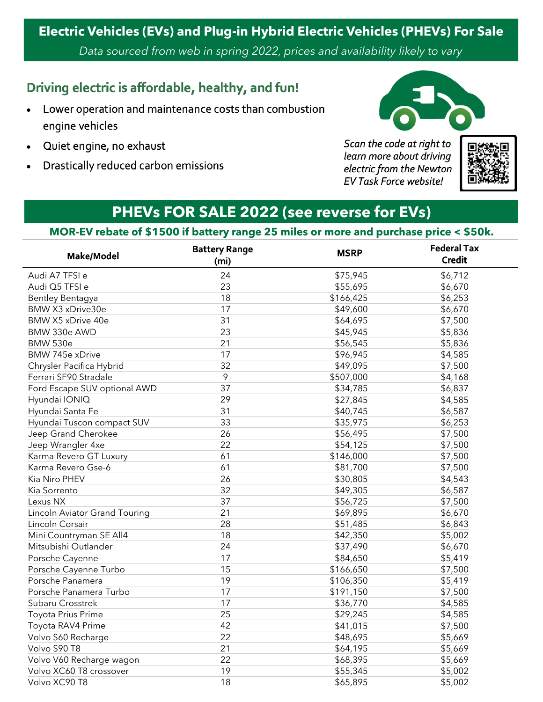## **Electric Vehicles (EVs) and Plug-in Hybrid Electric Vehicles (PHEVs) For Sale**

*Data sourced from web in spring 2022, prices and availability likely to vary*

#### Driving electric is affordable, healthy, and fun!

- Lower operation and maintenance costs than combustion engine vehicles
- Quiet engine, no exhaust
- Drastically reduced carbon emissions



Scan the code at right to learn more about driving electric from the Newton **EV Task Force website!** 



## **PHEVs FOR SALE 2022 (see reverse for EVs)**

#### **MOR-EV rebate of \$1500 if battery range 25 miles or more and purchase price < \$50k.**

| Make/Model                    | <b>Battery Range</b><br>(m <sub>i</sub> ) | <b>MSRP</b> | <b>Federal Tax</b><br><b>Credit</b> |
|-------------------------------|-------------------------------------------|-------------|-------------------------------------|
| Audi A7 TFSI e                | 24                                        | \$75,945    | \$6,712                             |
| Audi Q5 TFSI e                | 23                                        | \$55,695    | \$6,670                             |
| <b>Bentley Bentagya</b>       | 18                                        | \$166,425   | \$6,253                             |
| BMW X3 xDrive30e              | 17                                        | \$49,600    | \$6,670                             |
| BMW X5 xDrive 40e             | 31                                        | \$64,695    | \$7,500                             |
| BMW 330e AWD                  | 23                                        | \$45,945    | \$5,836                             |
| <b>BMW 530e</b>               | 21                                        | \$56,545    | \$5,836                             |
| BMW 745e xDrive               | 17                                        | \$96,945    | \$4,585                             |
| Chrysler Pacifica Hybrid      | 32                                        | \$49,095    | \$7,500                             |
| Ferrari SF90 Stradale         | 9                                         | \$507,000   | \$4,168                             |
| Ford Escape SUV optional AWD  | 37                                        | \$34,785    | \$6,837                             |
| Hyundai IONIQ                 | 29                                        | \$27,845    | \$4,585                             |
| Hyundai Santa Fe              | 31                                        | \$40,745    | \$6,587                             |
| Hyundai Tuscon compact SUV    | 33                                        | \$35,975    | \$6,253                             |
| Jeep Grand Cherokee           | 26                                        | \$56,495    | \$7,500                             |
| Jeep Wrangler 4xe             | 22                                        | \$54,125    | \$7,500                             |
| Karma Revero GT Luxury        | 61                                        | \$146,000   | \$7,500                             |
| Karma Revero Gse-6            | 61                                        | \$81,700    | \$7,500                             |
| Kia Niro PHEV                 | 26                                        | \$30,805    | \$4,543                             |
| Kia Sorrento                  | 32                                        | \$49,305    | \$6,587                             |
| Lexus NX                      | 37                                        | \$56,725    | \$7,500                             |
| Lincoln Aviator Grand Touring | 21                                        | \$69,895    | \$6,670                             |
| Lincoln Corsair               | 28                                        | \$51,485    | \$6,843                             |
| Mini Countryman SE All4       | 18                                        | \$42,350    | \$5,002                             |
| Mitsubishi Outlander          | 24                                        | \$37,490    | \$6,670                             |
| Porsche Cayenne               | 17                                        | \$84,650    | \$5,419                             |
| Porsche Cayenne Turbo         | 15                                        | \$166,650   | \$7,500                             |
| Porsche Panamera              | 19                                        | \$106,350   | \$5,419                             |
| Porsche Panamera Turbo        | 17                                        | \$191,150   | \$7,500                             |
| Subaru Crosstrek              | 17                                        | \$36,770    | \$4,585                             |
| Toyota Prius Prime            | 25                                        | \$29,245    | \$4,585                             |
| Toyota RAV4 Prime             | 42                                        | \$41,015    | \$7,500                             |
| Volvo S60 Recharge            | 22                                        | \$48,695    | \$5,669                             |
| Volvo S90 T8                  | 21                                        | \$64,195    | \$5,669                             |
| Volvo V60 Recharge wagon      | 22                                        | \$68,395    | \$5,669                             |
| Volvo XC60 T8 crossover       | 19                                        | \$55,345    | \$5,002                             |
| Volvo XC90 T8                 | 18                                        | \$65,895    | \$5,002                             |